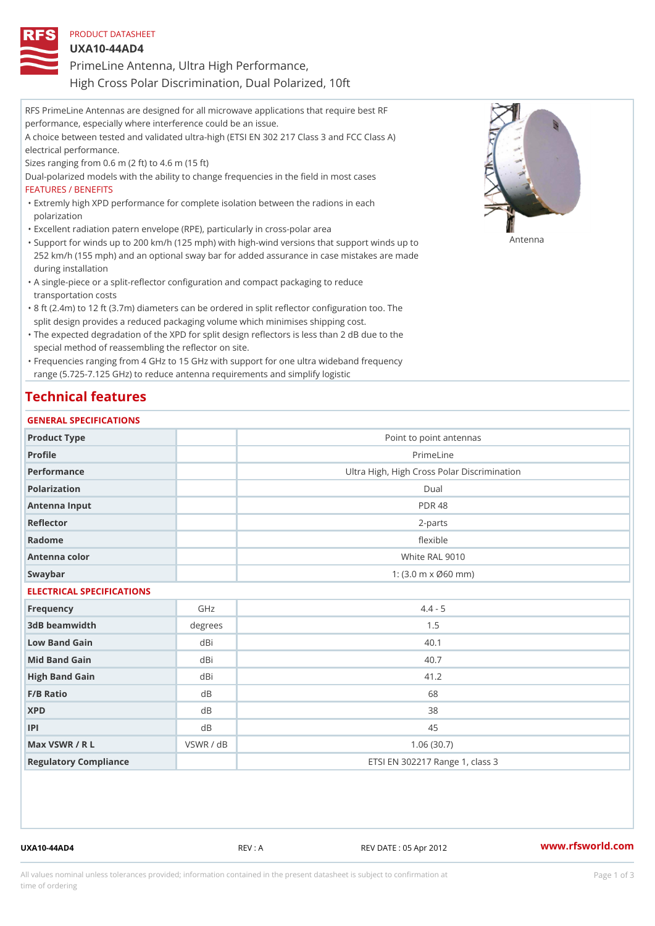| PRODUCT DATASHEET                                     |
|-------------------------------------------------------|
| $UXA10-44ADA$                                         |
| PrimeLine Antenna, Ultra High Performance,            |
| High Cross Polar Discrimination, Dual Polarized, 10ft |

RFS PrimeLine Antennas are designed for all microwave applications that require best RF performance, especially where interference could be an issue. A choice between tested and validated ultra-high (ETSI EN 302 217 Class 3 and FCC Class A) electrical performance. Sizes ranging from 0.6 m (2 ft) to 4.6 m (15 ft) Dual-polarized models with the ability to change frequencies in the field in most cases FEATURES / BENEFITS Extremly high XPD performance for complete isolation between the radions in each " polarization "Excellent radiation patern envelope (RPE), particularly in cross-polar area "Support for winds up to 200 km/h (125 mph) with high-wind versions that support for wands up to 252 km/h (155 mph) and an optional sway bar for added assurance in case mistakes are made during installation

- A single-piece or a split-reflector configuration and compact packaging to reduce " transportation costs
- 8 ft (2.4m) to 12 ft (3.7m) diameters can be ordered in split reflector configuration too. The " split design provides a reduced packaging volume which minimises shipping cost.
- "The expected degradation of the XPD for split design reflectors is less than 2 dB due to the special method of reassembling the reflector on site.

Frequencies ranging from 4 GHz to 15 GHz with support for one ultra wideband frequency " range (5.725-7.125 GHz) to reduce antenna requirements and simplify logistic

### Technical features

#### GENERAL SPECIFICATIONS

| Product Type              |                | Point to point antennas                     |  |  |  |
|---------------------------|----------------|---------------------------------------------|--|--|--|
| Profile                   |                | PrimeLine                                   |  |  |  |
| Performance               |                | Ultra High, High Cross Polar Discrimination |  |  |  |
| Polarization              |                | $D$ ual                                     |  |  |  |
| Antenna Input             |                | <b>PDR 48</b>                               |  |  |  |
| Reflector                 |                | $2 - p$ arts                                |  |  |  |
| Radome                    |                | flexible                                    |  |  |  |
| Antenna color             |                | White RAL 9010                              |  |  |  |
| Swaybar                   |                | 1: (3.0 m x Ø60 mm)                         |  |  |  |
| ELECTRICAL SPECIFICATIONS |                |                                             |  |  |  |
| Frequency                 | GHz            | $4.4 - 5$                                   |  |  |  |
| 3dB beamwidth             | $degree$ :     | 1.5                                         |  |  |  |
| Low Band Gain             | dBi            | 40.1                                        |  |  |  |
| Mid Band Gain             | dBi            | 40.7                                        |  |  |  |
| High Band Gain            | dBi            | 41.2                                        |  |  |  |
| F/B Ratio                 | d <sub>B</sub> | 68                                          |  |  |  |
| <b>XPD</b>                | d B            | 38                                          |  |  |  |
| P                         | $d$ B          | 45                                          |  |  |  |
| Max VSWR / R L            | VSWR / dB      | 1.06(30.7)                                  |  |  |  |
| Regulatory Compliance     |                | ETSI EN 302217 Range 1, class 3             |  |  |  |

UXA10-44AD4 REV : A REV DATE : 05 Apr 2012 [www.](https://www.rfsworld.com)rfsworld.com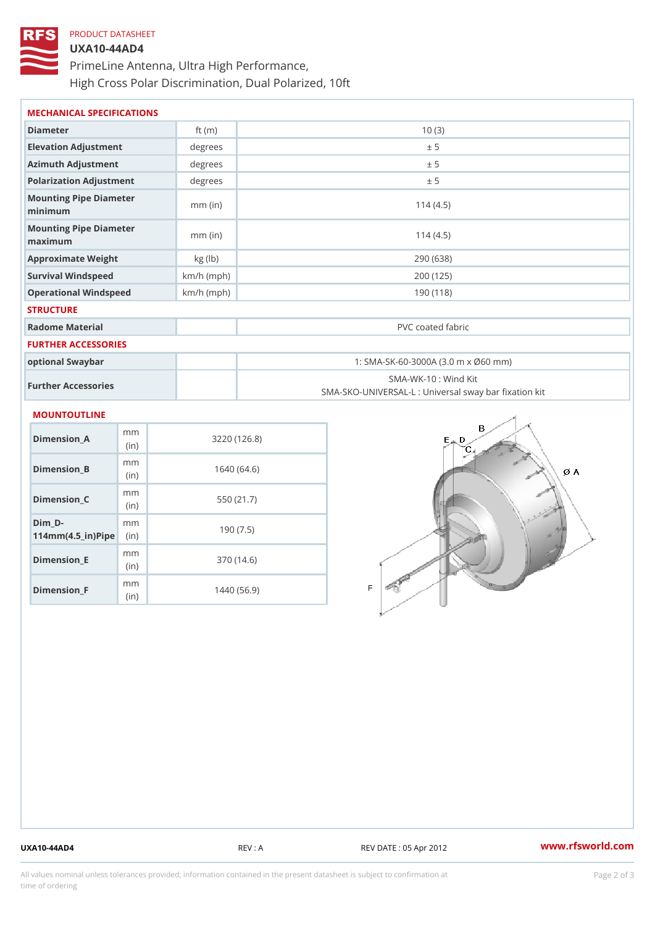# PRODUCT DATASHEET UXA10-44AD4 PrimeLine Antenna, Ultra High Performance, High Cross Polar Discrimination, Dual Polarized, 10ft

| MECHANICAL SPECIFICATIONS               |              |                                                                          |  |  |
|-----------------------------------------|--------------|--------------------------------------------------------------------------|--|--|
| Diameter                                | ft $(m)$     | 10(3)                                                                    |  |  |
| Elevation Adjustment                    | degree:      | ± 5                                                                      |  |  |
| Azimuth Adjustment                      | degrees      | ± 5                                                                      |  |  |
| Polarization Adjustment                 | degree:      | ± 5                                                                      |  |  |
| Mounting Pipe Diameter<br>minimum       | $mm$ (in)    | 114(4.5)                                                                 |  |  |
| Mounting Pipe Diameter<br>maximum       | $mm$ (in)    | 114(4.5)                                                                 |  |  |
| Approximate Weight                      | kg (lb)      | 290 (638)                                                                |  |  |
| Survival Windspeed                      | $km/h$ (mph) | 200 (125)                                                                |  |  |
| Operational Windspeed                   | $km/h$ (mph) | 190 (118)                                                                |  |  |
| <b>STRUCTURE</b>                        |              |                                                                          |  |  |
| Radome Material                         |              | PVC coated fabric                                                        |  |  |
| FURTHER ACCESSORIES                     |              |                                                                          |  |  |
| optional Swaybar                        |              | 1: SMA-SK-60-3000A (3.0 m x Ø60 mm)                                      |  |  |
| Further Accessories                     |              | SMA-WK-10: Wind Kit<br>SMA-SKO-UNIVERSAL-L : Universal sway bar fixation |  |  |
| MOUNTOUTLINE                            |              |                                                                          |  |  |
| m <sub>m</sub><br>$Dimension_A$<br>(in) |              | 3220(126.8)                                                              |  |  |
| m m<br>Dimension_B<br>(in)              |              | 1640(64.6)                                                               |  |  |

Dimension\_C

Dimension\_E

Dimension\_F

 $114$  m m (4.5 \_ i r )  $\sqrt{$  ii p  $\ge$ 

 $Dim_D - D -$ 

mm (in)

m m

m<sub>m</sub> (in)

m<sub>m</sub> (in)

550 (21.7)

190 (7.5)

370 (14.6)

1440 (56.9)

UXA10-44AD4 REV : A REV : A REV DATE : 05 Apr 2012 WWW.rfsworld.com